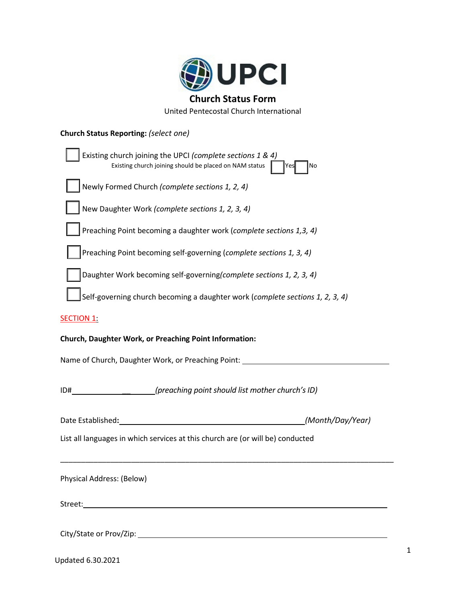

United Pentecostal Church International

## **Church Status Reporting:** *(select one)*

| Existing church joining the UPCI (complete sections 1 & 4)<br>Existing church joining should be placed on NAM status<br>No<br>Yes |  |  |  |  |  |
|-----------------------------------------------------------------------------------------------------------------------------------|--|--|--|--|--|
| Newly Formed Church (complete sections 1, 2, 4)                                                                                   |  |  |  |  |  |
| New Daughter Work (complete sections 1, 2, 3, 4)                                                                                  |  |  |  |  |  |
| Preaching Point becoming a daughter work (complete sections 1,3, 4)                                                               |  |  |  |  |  |
| Preaching Point becoming self-governing (complete sections 1, 3, 4)                                                               |  |  |  |  |  |
| Daughter Work becoming self-governing(complete sections 1, 2, 3, 4)                                                               |  |  |  |  |  |
| Self-governing church becoming a daughter work (complete sections 1, 2, 3, 4)                                                     |  |  |  |  |  |
| <b>SECTION 1:</b>                                                                                                                 |  |  |  |  |  |
| Church, Daughter Work, or Preaching Point Information:                                                                            |  |  |  |  |  |
| Name of Church, Daughter Work, or Preaching Point: _____________________________                                                  |  |  |  |  |  |
| (preaching point should list mother church's ID)<br>ID#                                                                           |  |  |  |  |  |
| (Month/Day/Year)<br>Date Established:                                                                                             |  |  |  |  |  |
| List all languages in which services at this church are (or will be) conducted                                                    |  |  |  |  |  |
| Physical Address: (Below)                                                                                                         |  |  |  |  |  |
| Street:                                                                                                                           |  |  |  |  |  |
| City/State or Prov/Zip:                                                                                                           |  |  |  |  |  |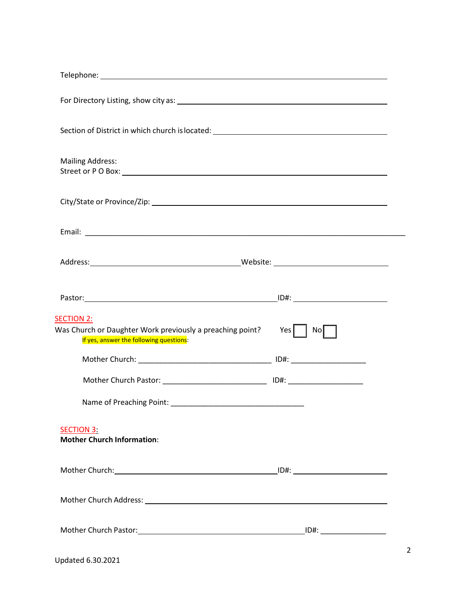| Section of District in which church is located: ________________________________                                          |                           |
|---------------------------------------------------------------------------------------------------------------------------|---------------------------|
| <b>Mailing Address:</b>                                                                                                   |                           |
|                                                                                                                           |                           |
|                                                                                                                           |                           |
|                                                                                                                           |                           |
|                                                                                                                           |                           |
| <b>SECTION 2:</b><br>Was Church or Daughter Work previously a preaching point?<br>If yes, answer the following questions: | Yes $\vert$ $\vert$<br>No |
|                                                                                                                           |                           |
| Mother Church Pastor: __________________________________ ID#: __________________                                          |                           |
|                                                                                                                           |                           |
| <b>SECTION 3:</b><br><b>Mother Church Information:</b>                                                                    |                           |
|                                                                                                                           |                           |
|                                                                                                                           |                           |
|                                                                                                                           |                           |